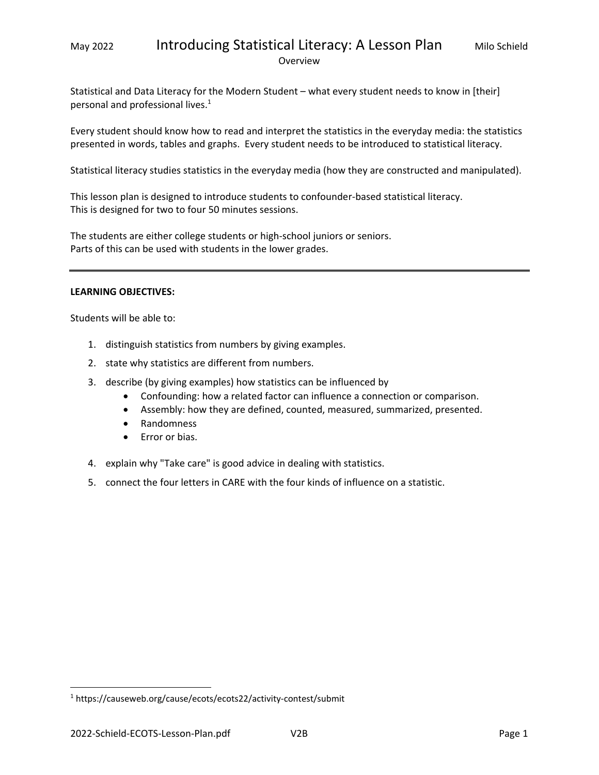## May 2022 **Introducing Statistical Literacy: A Lesson Plan** Milo Schield Overview

Statistical and Data Literacy for the Modern Student – what every student needs to know in [their] personal and professional lives.<sup>1</sup>

Every student should know how to read and interpret the statistics in the everyday media: the statistics presented in words, tables and graphs. Every student needs to be introduced to statistical literacy.

Statistical literacy studies statistics in the everyday media (how they are constructed and manipulated).

This lesson plan is designed to introduce students to confounder‐based statistical literacy. This is designed for two to four 50 minutes sessions.

The students are either college students or high‐school juniors or seniors. Parts of this can be used with students in the lower grades.

#### **LEARNING OBJECTIVES:**

Students will be able to:

- 1. distinguish statistics from numbers by giving examples.
- 2. state why statistics are different from numbers.
- 3. describe (by giving examples) how statistics can be influenced by
	- Confounding: how a related factor can influence a connection or comparison.
	- Assembly: how they are defined, counted, measured, summarized, presented.
	- Randomness
	- Error or bias.
- 4. explain why "Take care" is good advice in dealing with statistics.
- 5. connect the four letters in CARE with the four kinds of influence on a statistic.

<sup>&</sup>lt;sup>1</sup> https://causeweb.org/cause/ecots/ecots22/activity-contest/submit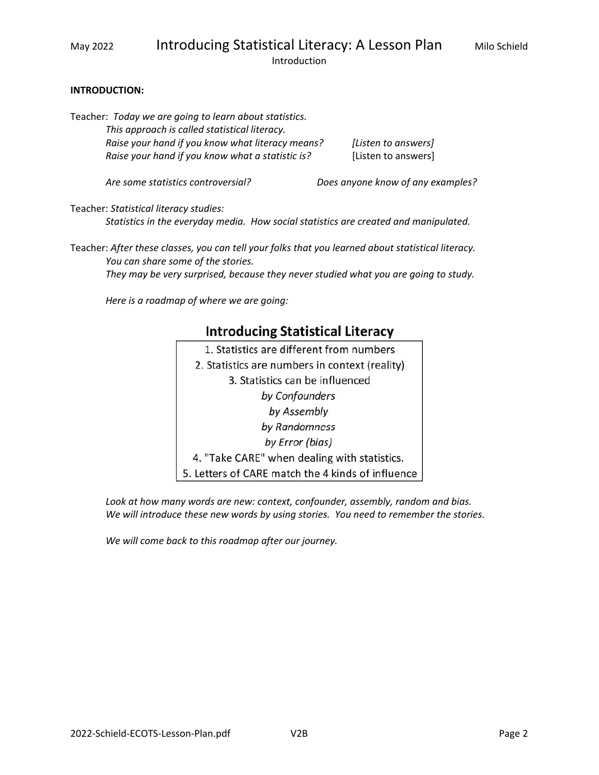Introduction

#### **INTRODUCTION:**

Teacher: *Today we are going to learn about statistics. This approach is called statistical literacy. Raise your hand if you know what literacy means? [Listen to answers]* 

*Raise your hand if you know what a statistic is?* [Listen to answers]

*Are some statistics controversial? Does anyone know of any examples?* 

Teacher: *Statistical literacy studies:* 

*Statistics in the everyday media. How social statistics are created and manipulated.* 

Teacher: *After these classes, you can tell your folks that you learned about statistical literacy. You can share some of the stories.* 

*They may be very surprised, because they never studied what you are going to study.* 

*Here is a roadmap of where we are going:* 

# **Introducing Statistical Literacy**

1. Statistics are different from numbers 2. Statistics are numbers in context (reality) 3. Statistics can be influenced by Confounders by Assembly by Randomness by Error (bias) 4. "Take CARE" when dealing with statistics. 5. Letters of CARE match the 4 kinds of influence

*Look at how many words are new: context, confounder, assembly, random and bias. We will introduce these new words by using stories. You need to remember the stories.* 

*We will come back to this roadmap after our journey.*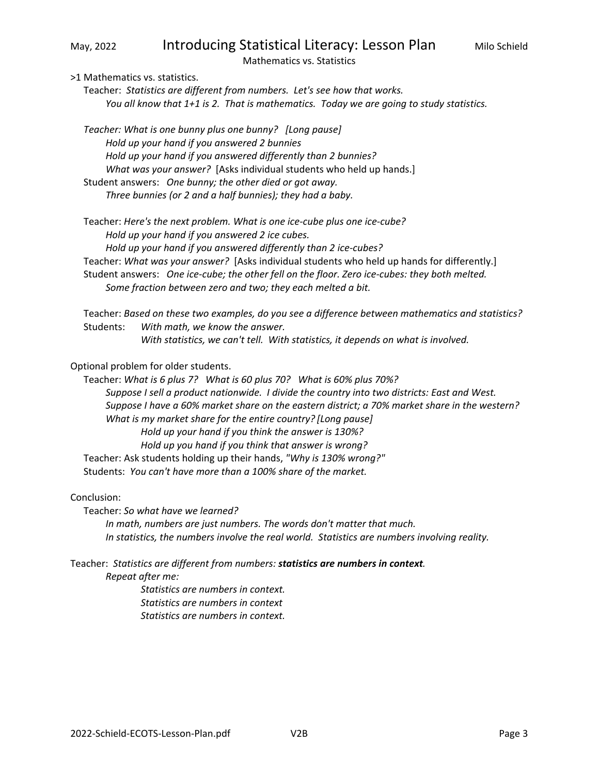# May, 2022 **Introducing Statistical Literacy: Lesson Plan** Milo Schield

Mathematics vs. Statistics

>1 Mathematics vs. statistics.

Teacher: *Statistics are different from numbers. Let's see how that works. You all know that 1+1 is 2. That is mathematics. Today we are going to study statistics.*

*Teacher: What is one bunny plus one bunny? [Long pause] Hold up your hand if you answered 2 bunnies Hold up your hand if you answered differently than 2 bunnies? What was your answer?* [Asks individual students who held up hands.] Student answers: *One bunny; the other died or got away. Three bunnies (or 2 and a half bunnies); they had a baby.*

Teacher: *Here's the next problem. What is one ice‐cube plus one ice‐cube? Hold up your hand if you answered 2 ice cubes. Hold up your hand if you answered differently than 2 ice‐cubes?* Teacher: *What was your answer?* [Asks individual students who held up hands for differently.] Student answers: One ice-cube; the other fell on the floor. Zero ice-cubes: they both melted.  *Some fraction between zero and two; they each melted a bit.* 

Teacher: *Based on these two examples, do you see a difference between mathematics and statistics?* Students: *With math, we know the answer. With statistics, we can't tell. With statistics, it depends on what is involved.* 

Optional problem for older students.

Teacher: *What is 6 plus 7? What is 60 plus 70? What is 60% plus 70%? Suppose I sell a product nationwide. I divide the country into two districts: East and West. Suppose I have a 60% market share on the eastern district; a 70% market share in the western? What is my market share for the entire country? [Long pause] Hold up your hand if you think the answer is 130%? Hold up you hand if you think that answer is wrong?*  Teacher: Ask students holding up their hands, *"Why is 130% wrong?"*

Students:  *You can't have more than a 100% share of the market.* 

Conclusion:

Teacher: *So what have we learned?* 

*In math, numbers are just numbers. The words don't matter that much. In statistics, the numbers involve the real world. Statistics are numbers involving reality.* 

Teacher: *Statistics are different from numbers: statistics are numbers in context.* 

 *Repeat after me:* 

*Statistics are numbers in context. Statistics are numbers in context Statistics are numbers in context.*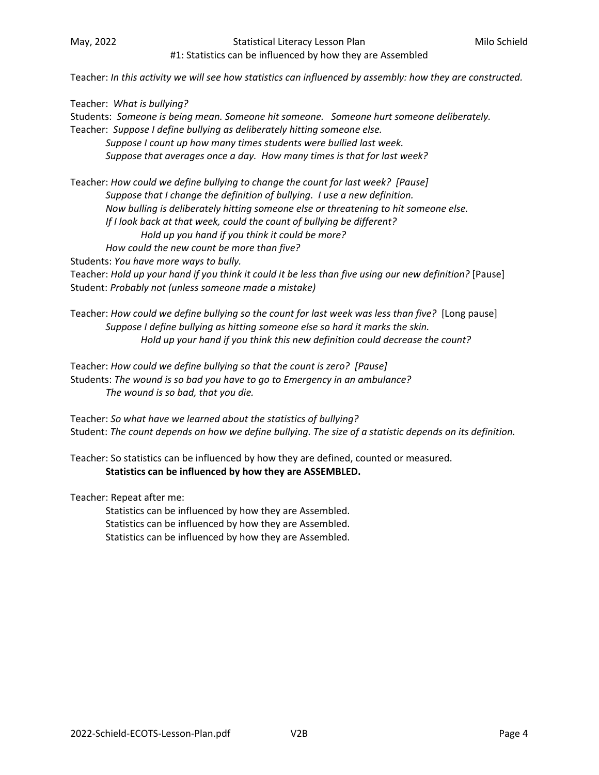#### May, 2022 **Statistical Literacy Lesson Plan** Milo Schield Company, 2022

### #1: Statistics can be influenced by how they are Assembled

Teacher: *In this activity we will see how statistics can influenced by assembly: how they are constructed.* 

Teacher: *What is bullying?* Students: *Someone is being mean. Someone hit someone. Someone hurt someone deliberately.* Teacher: *Suppose I define bullying as deliberately hitting someone else. Suppose I count up how many times students were bullied last week. Suppose that averages once a day. How many times is that for last week?* 

Teacher: *How could we define bullying to change the count for last week? [Pause] Suppose that I change the definition of bullying. I use a new definition. Now bulling is deliberately hitting someone else or threatening to hit someone else. If I look back at that week, could the count of bullying be different? Hold up you hand if you think it could be more? How could the new count be more than five?* 

Students: *You have more ways to bully.*

Teacher: *Hold up your hand if you think it could it be less than five using our new definition?* [Pause] Student: *Probably not (unless someone made a mistake)*

Teacher: *How could we define bullying so the count for last week was less than five?* [Long pause] *Suppose I define bullying as hitting someone else so hard it marks the skin. Hold up your hand if you think this new definition could decrease the count?* 

Teacher: *How could we define bullying so that the count is zero? [Pause]*  Students: *The wound is so bad you have to go to Emergency in an ambulance? The wound is so bad, that you die.* 

Teacher: *So what have we learned about the statistics of bullying?* Student: *The count depends on how we define bullying. The size of a statistic depends on its definition.*

Teacher: So statistics can be influenced by how they are defined, counted or measured. **Statistics can be influenced by how they are ASSEMBLED.**

Teacher: Repeat after me:

Statistics can be influenced by how they are Assembled. Statistics can be influenced by how they are Assembled. Statistics can be influenced by how they are Assembled.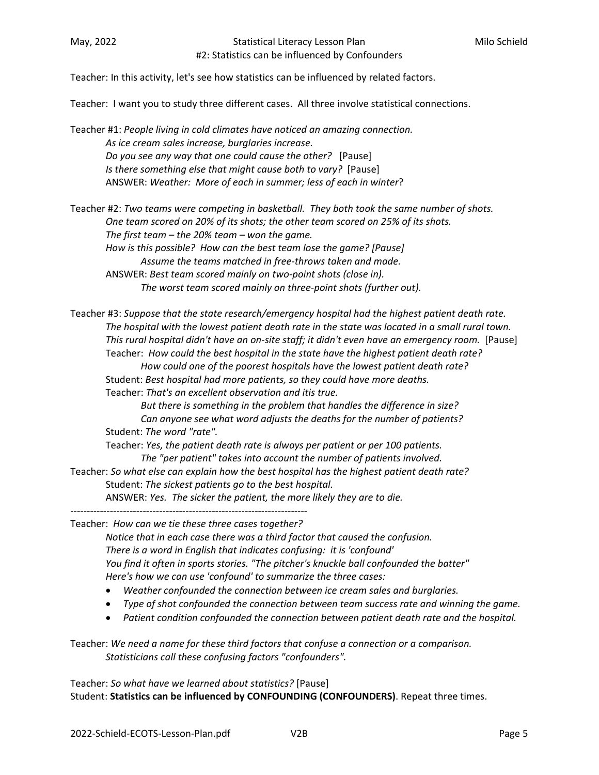Teacher: In this activity, let's see how statistics can be influenced by related factors.

Teacher: I want you to study three different cases. All three involve statistical connections.

Teacher #1: *People living in cold climates have noticed an amazing connection.*  As ice cream sales increase, burglaries increase. *Do you see any way that one could cause the other?* [Pause]  *Is there something else that might cause both to vary?* [Pause] ANSWER: *Weather: More of each in summer; less of each in winter*?

Teacher #2: *Two teams were competing in basketball. They both took the same number of shots. One team scored on 20% of its shots; the other team scored on 25% of its shots.*  The first team  $-$  the 20% team  $-$  won the game. *How is this possible? How can the best team lose the game? [Pause] Assume the teams matched in free‐throws taken and made.*  ANSWER: *Best team scored mainly on two‐point shots (close in). The worst team scored mainly on three‐point shots (further out).* 

Teacher #3: *Suppose that the state research/emergency hospital had the highest patient death rate. The hospital with the lowest patient death rate in the state was located in a small rural town. This rural hospital didn't have an on‐site staff; it didn't even have an emergency room.*  [Pause] Teacher:  *How could the best hospital in the state have the highest patient death rate? How could one of the poorest hospitals have the lowest patient death rate?* Student: *Best hospital had more patients, so they could have more deaths.* Teacher: *That's an excellent observation and itis true. But there is something in the problem that handles the difference in size? Can anyone see what word adjusts the deaths for the number of patients?*  Student: *The word "rate".*  Teacher: *Yes, the patient death rate is always per patient or per 100 patients. The "per patient" takes into account the number of patients involved.*  Teacher: *So what else can explain how the best hospital has the highest patient death rate?*  Student: *The sickest patients go to the best hospital.*

ANSWER: *Yes. The sicker the patient, the more likely they are to die.* 

Teacher: *How can we tie these three cases together?* 

 *Notice that in each case there was a third factor that caused the confusion. There is a word in English that indicates confusing: it is 'confound' You find it often in sports stories. "The pitcher's knuckle ball confounded the batter" Here's how we can use 'confound' to summarize the three cases:* 

- *Weather confounded the connection between ice cream sales and burglaries.*
- *Type of shot confounded the connection between team success rate and winning the game.*
- *Patient condition confounded the connection between patient death rate and the hospital.*

Teacher: *We need a name for these third factors that confuse a connection or a comparison. Statisticians call these confusing factors "confounders".* 

Teacher: *So what have we learned about statistics?* [Pause] Student: **Statistics can be influenced by CONFOUNDING (CONFOUNDERS)**. Repeat three times.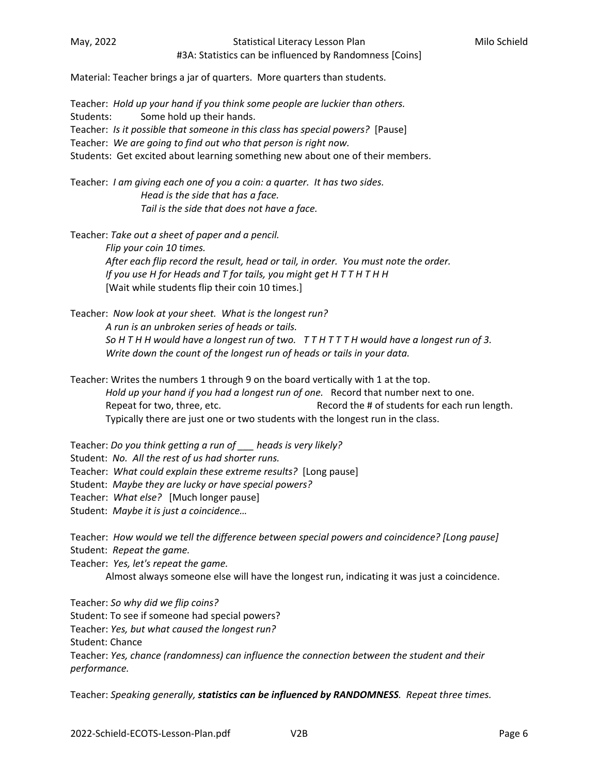#3A: Statistics can be influenced by Randomness [Coins]

Material: Teacher brings a jar of quarters. More quarters than students.

Teacher: *Hold up your hand if you think some people are luckier than others.* Students: Some hold up their hands. Teacher: *Is it possible that someone in this class has special powers?* [Pause] Teacher: *We are going to find out who that person is right now.*  Students: Get excited about learning something new about one of their members.

Teacher: *I am giving each one of you a coin: a quarter. It has two sides. Head is the side that has a face. Tail is the side that does not have a face.* 

Teacher: *Take out a sheet of paper and a pencil.* 

 *Flip your coin 10 times. After each flip record the result, head or tail, in order. You must note the order. If you use H for Heads and T for tails, you might get H T T H T H H*  [Wait while students flip their coin 10 times.]

Teacher: *Now look at your sheet. What is the longest run? A run is an unbroken series of heads or tails. So H T H H would have a longest run of two. T T H T T T H would have a longest run of 3. Write down the count of the longest run of heads or tails in your data.* 

Teacher: Writes the numbers 1 through 9 on the board vertically with 1 at the top. *Hold up your hand if you had a longest run of one.* Record that number next to one. Repeat for two, three, etc. The State of the # of students for each run length. Typically there are just one or two students with the longest run in the class.

Teacher: *Do you think getting a run of \_\_\_ heads is very likely?* 

Student: *No. All the rest of us had shorter runs.*

Teacher:  *What could explain these extreme results?* [Long pause]

Student: *Maybe they are lucky or have special powers?*

Teacher: *What else?*  [Much longer pause]

Student: *Maybe it is just a coincidence…*

Teacher:  *How would we tell the difference between special powers and coincidence? [Long pause]*  Student: *Repeat the game.* 

Teacher: *Yes, let's repeat the game.* 

Almost always someone else will have the longest run, indicating it was just a coincidence.

Teacher: *So why did we flip coins?* 

Student: To see if someone had special powers?

Teacher: *Yes, but what caused the longest run?*

Student: Chance

Teacher: *Yes, chance (randomness) can influence the connection between the student and their performance.* 

Teacher: *Speaking generally, statistics can be influenced by RANDOMNESS. Repeat three times.*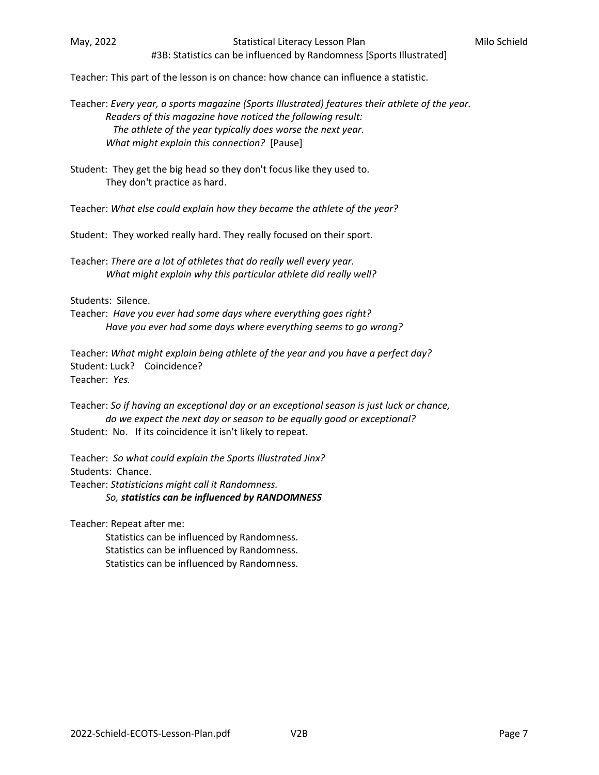#3B: Statistics can be influenced by Randomness [Sports Illustrated]

Teacher: This part of the lesson is on chance: how chance can influence a statistic.

Teacher: *Every year, a sports magazine (Sports Illustrated) features their athlete of the year. Readers of this magazine have noticed the following result: The athlete of the year typically does worse the next year. What might explain this connection?*  [Pause]

Student: They get the big head so they don't focus like they used to. They don't practice as hard.

Teacher: *What else could explain how they became the athlete of the year?*

Student: They worked really hard. They really focused on their sport.

Teacher: *There are a lot of athletes that do really well every year. What might explain why this particular athlete did really well?* 

Students: Silence.

Teacher: *Have you ever had some days where everything goes right? Have you ever had some days where everything seems to go wrong?* 

Teacher: *What might explain being athlete of the year and you have a perfect day?*  Student: Luck? Coincidence? Teacher: *Yes.* 

Teacher: *So if having an exceptional day or an exceptional season is just luck or chance, do we expect the next day or season to be equally good or exceptional?*  Student: No. If its coincidence it isn't likely to repeat.

Teacher: *So what could explain the Sports Illustrated Jinx?* Students: Chance. Teacher: *Statisticians might call it Randomness. So, statistics can be influenced by RANDOMNESS* 

Teacher: Repeat after me:

 Statistics can be influenced by Randomness. Statistics can be influenced by Randomness. Statistics can be influenced by Randomness.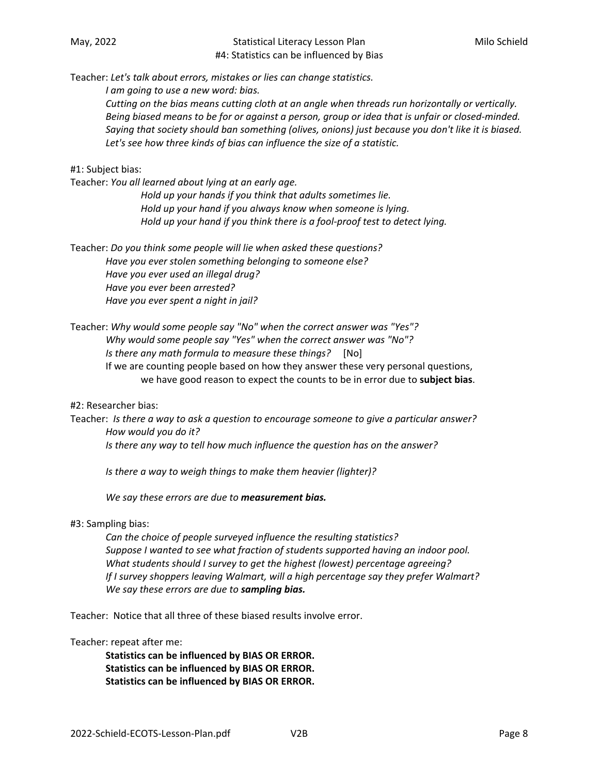#### May, 2022 **Statistical Literacy Lesson Plan** Milo Schield Company, 2022 #4: Statistics can be influenced by Bias

Teacher: *Let's talk about errors, mistakes or lies can change statistics.* 

 *I am going to use a new word: bias.* 

 *Cutting on the bias means cutting cloth at an angle when threads run horizontally or vertically. Being biased means to be for or against a person, group or idea that is unfair or closed‐minded. Saying that society should ban something (olives, onions) just because you don't like it is biased. Let's see how three kinds of bias can influence the size of a statistic.* 

#### #1: Subject bias:

Teacher: *You all learned about lying at an early age.* 

*Hold up your hands if you think that adults sometimes lie. Hold up your hand if you always know when someone is lying. Hold up your hand if you think there is a fool‐proof test to detect lying.* 

Teacher: *Do you think some people will lie when asked these questions? Have you ever stolen something belonging to someone else? Have you ever used an illegal drug? Have you ever been arrested? Have you ever spent a night in jail?* 

Teacher: *Why would some people say "No" when the correct answer was "Yes"? Why would some people say "Yes" when the correct answer was "No"? Is there any math formula to measure these things?*  [No] If we are counting people based on how they answer these very personal questions, we have good reason to expect the counts to be in error due to **subject bias**.

#2: Researcher bias:

Teacher: *Is there a way to ask a question to encourage someone to give a particular answer? How would you do it?* 

 *Is there any way to tell how much influence the question has on the answer?* 

 *Is there a way to weigh things to make them heavier (lighter)?*

 *We say these errors are due to measurement bias.*

#### #3: Sampling bias:

 *Can the choice of people surveyed influence the resulting statistics? Suppose I wanted to see what fraction of students supported having an indoor pool. What students should I survey to get the highest (lowest) percentage agreeing? If I survey shoppers leaving Walmart, will a high percentage say they prefer Walmart? We say these errors are due to sampling bias.* 

Teacher: Notice that all three of these biased results involve error.

Teacher: repeat after me:

**Statistics can be influenced by BIAS OR ERROR. Statistics can be influenced by BIAS OR ERROR. Statistics can be influenced by BIAS OR ERROR.**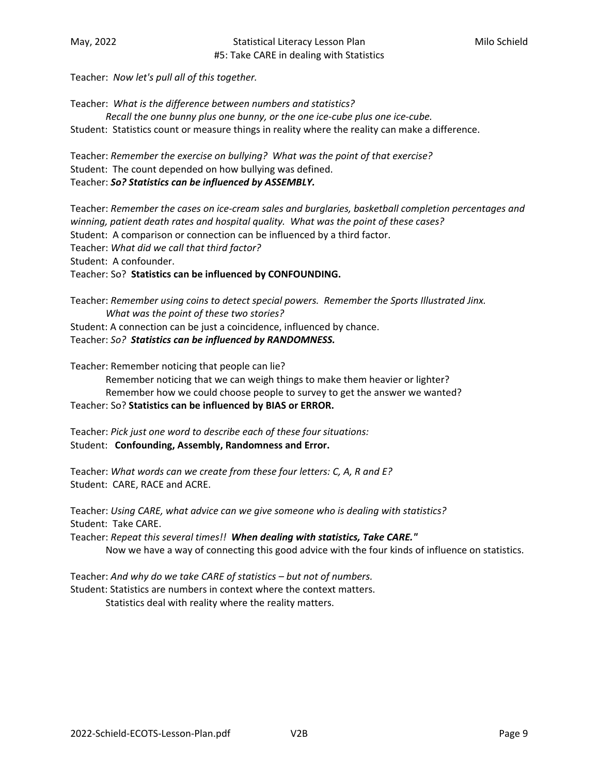Teacher: *Now let's pull all of this together.* 

Teacher: What is the difference between numbers and statistics?  *Recall the one bunny plus one bunny, or the one ice‐cube plus one ice‐cube.*  Student: Statistics count or measure things in reality where the reality can make a difference.

Teacher: Remember the exercise on bullying? What was the point of that exercise? Student: The count depended on how bullying was defined. Teacher: *So? Statistics can be influenced by ASSEMBLY.* 

Teacher: *Remember the cases on ice‐cream sales and burglaries, basketball completion percentages and winning, patient death rates and hospital quality. What was the point of these cases?*  Student: A comparison or connection can be influenced by a third factor. Teacher: *What did we call that third factor?*  Student: A confounder. Teacher: So? **Statistics can be influenced by CONFOUNDING.** 

Teacher: *Remember using coins to detect special powers. Remember the Sports Illustrated Jinx. What was the point of these two stories?*  Student: A connection can be just a coincidence, influenced by chance. Teacher: *So? Statistics can be influenced by RANDOMNESS.*

Teacher: Remember noticing that people can lie?

 Remember noticing that we can weigh things to make them heavier or lighter? Remember how we could choose people to survey to get the answer we wanted? Teacher: So? **Statistics can be influenced by BIAS or ERROR.** 

Teacher: *Pick just one word to describe each of these four situations:* Student: **Confounding, Assembly, Randomness and Error.**

Teacher: *What words can we create from these four letters: C, A, R and E?* Student: CARE, RACE and ACRE.

Teacher: *Using CARE, what advice can we give someone who is dealing with statistics?* Student: Take CARE.

Teacher: *Repeat this several times!! When dealing with statistics, Take CARE."* Now we have a way of connecting this good advice with the four kinds of influence on statistics.

Teacher: *And why do we take CARE of statistics – but not of numbers.* Student: Statistics are numbers in context where the context matters.

Statistics deal with reality where the reality matters.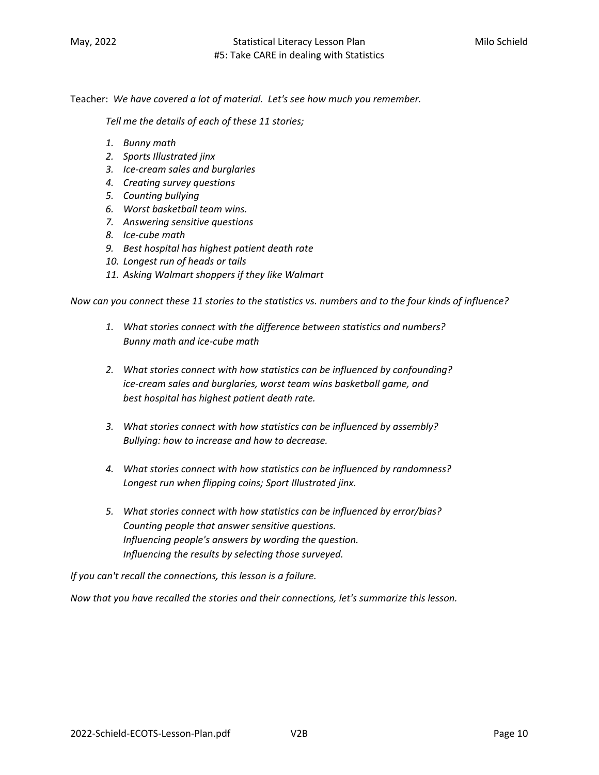Teacher:  *We have covered a lot of material. Let's see how much you remember.* 

 *Tell me the details of each of these 11 stories;* 

- *1. Bunny math*
- *2. Sports Illustrated jinx*
- *3. Ice‐cream sales and burglaries*
- *4. Creating survey questions*
- *5. Counting bullying*
- *6. Worst basketball team wins.*
- *7. Answering sensitive questions*
- *8. Ice‐cube math*
- *9. Best hospital has highest patient death rate*
- *10. Longest run of heads or tails*
- *11. Asking Walmart shoppers if they like Walmart*

*Now can you connect these 11 stories to the statistics vs. numbers and to the four kinds of influence?* 

- *1. What stories connect with the difference between statistics and numbers? Bunny math and ice‐cube math*
- *2. What stories connect with how statistics can be influenced by confounding? ice‐cream sales and burglaries, worst team wins basketball game, and best hospital has highest patient death rate.*
- *3. What stories connect with how statistics can be influenced by assembly? Bullying: how to increase and how to decrease.*
- *4. What stories connect with how statistics can be influenced by randomness? Longest run when flipping coins; Sport Illustrated jinx.*
- *5. What stories connect with how statistics can be influenced by error/bias? Counting people that answer sensitive questions. Influencing people's answers by wording the question. Influencing the results by selecting those surveyed.*

*If you can't recall the connections, this lesson is a failure.* 

*Now that you have recalled the stories and their connections, let's summarize this lesson.*